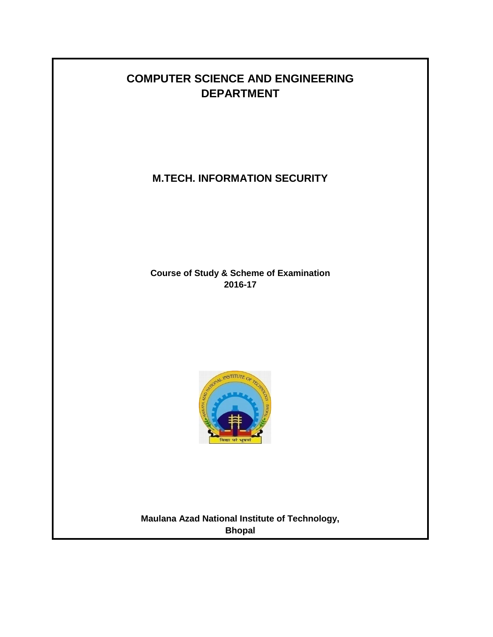# **COMPUTER SCIENCE AND ENGINEERING DEPARTMENT**

**M.TECH. INFORMATION SECURITY**

**Course of Study & Scheme of Examination 2016-17**



**Maulana Azad National Institute of Technology, Bhopal**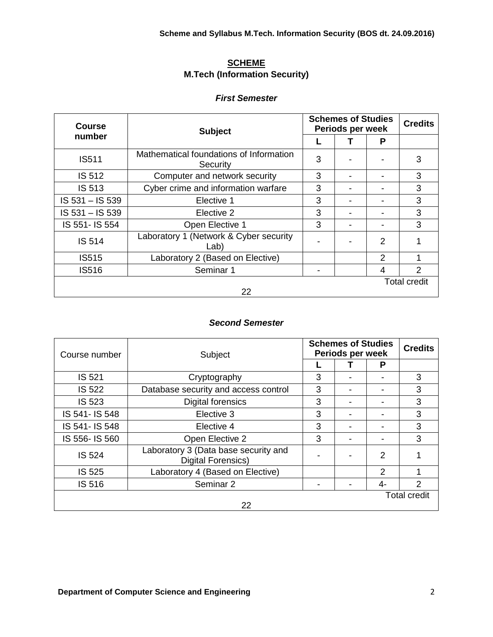### **SCHEME M.Tech (Information Security)**

#### *First Semester*

| <b>Course</b>   | <b>Subject</b>                                      | <b>Schemes of Studies</b><br>Periods per week | <b>Credits</b> |                     |
|-----------------|-----------------------------------------------------|-----------------------------------------------|----------------|---------------------|
| number          |                                                     |                                               | P              |                     |
| <b>IS511</b>    | Mathematical foundations of Information<br>Security | 3                                             |                | 3                   |
| <b>IS 512</b>   | Computer and network security                       | 3                                             |                | 3                   |
| IS 513          | Cyber crime and information warfare                 | 3                                             |                | 3                   |
| IS 531 - IS 539 | Elective 1                                          | 3                                             |                | 3                   |
| IS 531 - IS 539 | Elective 2                                          | 3                                             |                | 3                   |
| IS 551- IS 554  | Open Elective 1                                     | 3                                             |                | 3                   |
| IS 514          | Laboratory 1 (Network & Cyber security<br>Lab)      |                                               | 2              |                     |
| <b>IS515</b>    | Laboratory 2 (Based on Elective)                    |                                               | 2              |                     |
| IS516           |                                                     | 4                                             | $\mathcal{P}$  |                     |
|                 |                                                     |                                               |                | <b>Total credit</b> |
|                 | 22                                                  |                                               |                |                     |

### *Second Semester*

| Course number  | Subject                                                           | <b>Schemes of Studies</b><br>Periods per week | <b>Credits</b> |    |   |  |  |  |  |
|----------------|-------------------------------------------------------------------|-----------------------------------------------|----------------|----|---|--|--|--|--|
|                |                                                                   |                                               |                | P  |   |  |  |  |  |
| IS 521         | Cryptography                                                      | 3                                             |                |    | 3 |  |  |  |  |
| <b>IS 522</b>  | Database security and access control                              | 3                                             |                |    | 3 |  |  |  |  |
| IS 523         | <b>Digital forensics</b>                                          | 3                                             |                |    | 3 |  |  |  |  |
| IS 541- IS 548 | Elective 3                                                        | 3                                             |                |    | 3 |  |  |  |  |
| IS 541- IS 548 | Elective 4                                                        | 3                                             | -              |    | 3 |  |  |  |  |
| IS 556- IS 560 | Open Elective 2                                                   | 3                                             |                |    | 3 |  |  |  |  |
| <b>IS 524</b>  | Laboratory 3 (Data base security and<br><b>Digital Forensics)</b> |                                               |                | 2  |   |  |  |  |  |
| <b>IS 525</b>  | Laboratory 4 (Based on Elective)                                  |                                               |                | 2  |   |  |  |  |  |
| IS 516         | Seminar 2                                                         |                                               |                | 4- | 2 |  |  |  |  |
|                | <b>Total credit</b><br>22                                         |                                               |                |    |   |  |  |  |  |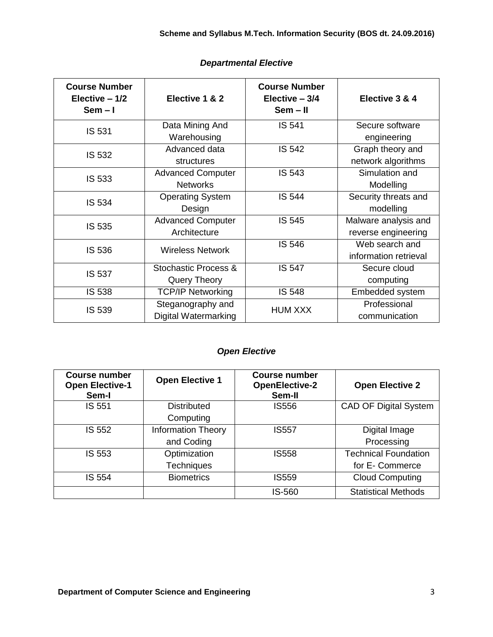| <b>Course Number</b><br>Elective $-1/2$<br>$Sem - I$ | Elective 1 & 2                                   | <b>Course Number</b><br>Elective $-3/4$<br>$Sem - II$ | Elective 3 & 4                              |
|------------------------------------------------------|--------------------------------------------------|-------------------------------------------------------|---------------------------------------------|
| IS 531                                               | Data Mining And<br>Warehousing                   | IS 541                                                | Secure software<br>engineering              |
| IS 532                                               | Advanced data<br>structures                      | <b>IS 542</b>                                         | Graph theory and<br>network algorithms      |
| IS 533                                               | <b>Advanced Computer</b><br><b>Networks</b>      | IS 543                                                | Simulation and<br>Modelling                 |
| IS 534                                               | <b>Operating System</b><br>Design                | <b>IS 544</b>                                         | Security threats and<br>modelling           |
| IS 535                                               | <b>Advanced Computer</b><br>Architecture         | IS 545                                                | Malware analysis and<br>reverse engineering |
| IS 536                                               | <b>Wireless Network</b>                          | IS 546                                                | Web search and<br>information retrieval     |
| IS 537                                               | Stochastic Process &<br><b>Query Theory</b>      | <b>IS 547</b>                                         | Secure cloud<br>computing                   |
| IS 538                                               | <b>TCP/IP Networking</b>                         | <b>IS 548</b>                                         | Embedded system                             |
| IS 539                                               | Steganography and<br><b>Digital Watermarking</b> | <b>HUM XXX</b>                                        | Professional<br>communication               |

### *Departmental Elective*

# *Open Elective*

| <b>Course number</b><br><b>Open Elective-1</b><br>Sem-I | <b>Open Elective 1</b>    | <b>Course number</b><br><b>OpenElective-2</b><br>Sem-II | <b>Open Elective 2</b>       |
|---------------------------------------------------------|---------------------------|---------------------------------------------------------|------------------------------|
| IS 551                                                  | <b>Distributed</b>        | <b>IS556</b>                                            | <b>CAD OF Digital System</b> |
|                                                         | Computing                 |                                                         |                              |
| IS 552                                                  | <b>Information Theory</b> | <b>IS557</b>                                            | Digital Image                |
|                                                         | and Coding                |                                                         | Processing                   |
| IS 553                                                  | Optimization              | <b>IS558</b>                                            | <b>Technical Foundation</b>  |
|                                                         | <b>Techniques</b>         |                                                         | for E- Commerce              |
| IS 554                                                  | <b>Biometrics</b>         | <b>IS559</b>                                            | <b>Cloud Computing</b>       |
|                                                         |                           | IS-560                                                  | <b>Statistical Methods</b>   |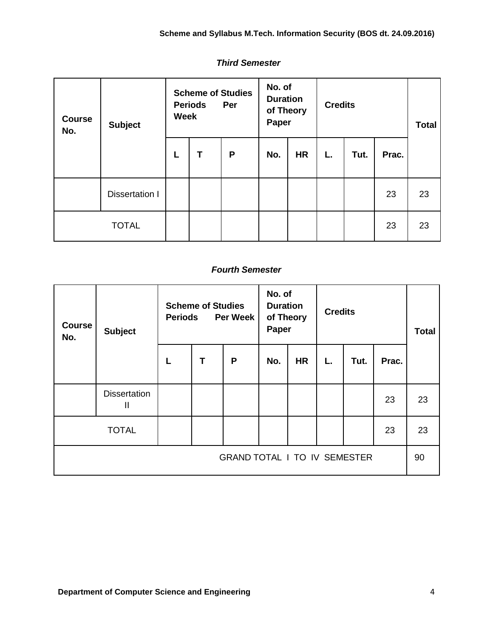| <b>Course</b><br>No. | <b>Subject</b>        | <b>Scheme of Studies</b><br><b>Periods</b><br>Per<br><b>Week</b> |   | No. of<br><b>Duration</b><br>of Theory<br>Paper |     | <b>Credits</b> |    |      | <b>Total</b> |    |
|----------------------|-----------------------|------------------------------------------------------------------|---|-------------------------------------------------|-----|----------------|----|------|--------------|----|
|                      |                       | L                                                                | Т | P                                               | No. | <b>HR</b>      | L. | Tut. | Prac.        |    |
|                      | <b>Dissertation I</b> |                                                                  |   |                                                 |     |                |    |      | 23           | 23 |
| <b>TOTAL</b>         |                       |                                                                  |   |                                                 |     |                |    |      | 23           | 23 |

### *Third Semester*

### *Fourth Semester*

| <b>Course</b><br>No.                | <b>Subject</b>           | <b>Scheme of Studies</b><br><b>Per Week</b><br><b>Periods</b> |   |   | No. of<br><b>Duration</b><br>of Theory<br>Paper |           | <b>Credits</b> |      |       | <b>Total</b> |
|-------------------------------------|--------------------------|---------------------------------------------------------------|---|---|-------------------------------------------------|-----------|----------------|------|-------|--------------|
|                                     |                          |                                                               | T | P | No.                                             | <b>HR</b> | L.             | Tut. | Prac. |              |
|                                     | <b>Dissertation</b><br>Ш |                                                               |   |   |                                                 |           |                |      | 23    | 23           |
| <b>TOTAL</b>                        |                          |                                                               |   |   |                                                 |           |                |      | 23    | 23           |
| <b>GRAND TOTAL I TO IV SEMESTER</b> |                          |                                                               |   |   |                                                 |           | 90             |      |       |              |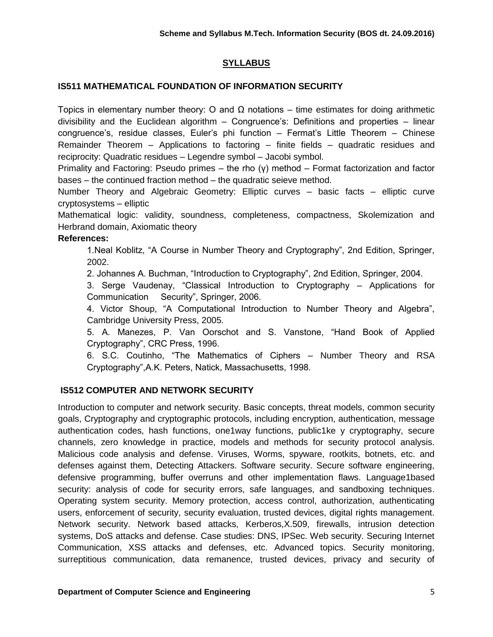### **SYLLABUS**

### **IS511 MATHEMATICAL FOUNDATION OF INFORMATION SECURITY**

Topics in elementary number theory: O and  $\Omega$  notations – time estimates for doing arithmetic divisibility and the Euclidean algorithm – Congruence's: Definitions and properties – linear congruence's, residue classes, Euler's phi function – Fermat's Little Theorem – Chinese Remainder Theorem – Applications to factoring – finite fields – quadratic residues and reciprocity: Quadratic residues – Legendre symbol – Jacobi symbol.

Primality and Factoring: Pseudo primes – the rho (γ) method – Format factorization and factor bases – the continued fraction method – the quadratic seieve method.

Number Theory and Algebraic Geometry: Elliptic curves – basic facts – elliptic curve cryptosystems – elliptic

Mathematical logic: validity, soundness, completeness, compactness, Skolemization and Herbrand domain, Axiomatic theory

### **References:**

1.Neal Koblitz, "A Course in Number Theory and Cryptography", 2nd Edition, Springer, 2002.

2. Johannes A. Buchman, "Introduction to Cryptography", 2nd Edition, Springer, 2004.

3. Serge Vaudenay, "Classical Introduction to Cryptography – Applications for Communication Security", Springer, 2006.

4. Victor Shoup, "A Computational Introduction to Number Theory and Algebra", Cambridge University Press, 2005.

5. A. Manezes, P. Van Oorschot and S. Vanstone, "Hand Book of Applied Cryptography", CRC Press, 1996.

6. S.C. Coutinho, "The Mathematics of Ciphers – Number Theory and RSA Cryptography",A.K. Peters, Natick, Massachusetts, 1998.

### **IS512 COMPUTER AND NETWORK SECURITY**

Introduction to computer and network security. Basic concepts, threat models, common security goals, Cryptography and cryptographic protocols, including encryption, authentication, message authentication codes, hash functions, one1way functions, public1ke y cryptography, secure channels, zero knowledge in practice, models and methods for security protocol analysis. Malicious code analysis and defense. Viruses, Worms, spyware, rootkits, botnets, etc. and defenses against them, Detecting Attackers. Software security. Secure software engineering, defensive programming, buffer overruns and other implementation flaws. Language1based security: analysis of code for security errors, safe languages, and sandboxing techniques. Operating system security. Memory protection, access control, authorization, authenticating users, enforcement of security, security evaluation, trusted devices, digital rights management. Network security. Network based attacks, Kerberos,X.509, firewalls, intrusion detection systems, DoS attacks and defense. Case studies: DNS, IPSec. Web security. Securing Internet Communication, XSS attacks and defenses, etc. Advanced topics. Security monitoring, surreptitious communication, data remanence, trusted devices, privacy and security of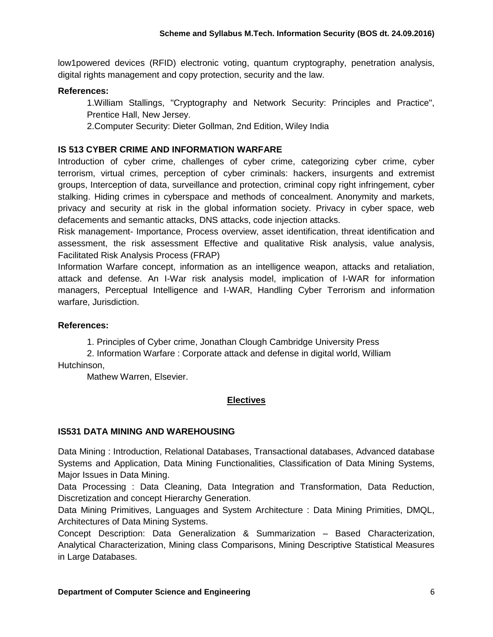low1powered devices (RFID) electronic voting, quantum cryptography, penetration analysis, digital rights management and copy protection, security and the law.

### **References:**

1.William Stallings, "Cryptography and Network Security: Principles and Practice", Prentice Hall, New Jersey.

2.Computer Security: Dieter Gollman, 2nd Edition, Wiley India

### **IS 513 CYBER CRIME AND INFORMATION WARFARE**

Introduction of cyber crime, challenges of cyber crime, categorizing cyber crime, cyber terrorism, virtual crimes, perception of cyber criminals: hackers, insurgents and extremist groups, Interception of data, surveillance and protection, criminal copy right infringement, cyber stalking. Hiding crimes in cyberspace and methods of concealment. Anonymity and markets, privacy and security at risk in the global information society. Privacy in cyber space, web defacements and semantic attacks, DNS attacks, code injection attacks.

Risk management- Importance, Process overview, asset identification, threat identification and assessment, the risk assessment Effective and qualitative Risk analysis, value analysis, Facilitated Risk Analysis Process (FRAP)

Information Warfare concept, information as an intelligence weapon, attacks and retaliation, attack and defense. An I-War risk analysis model, implication of I-WAR for information managers, Perceptual Intelligence and I-WAR, Handling Cyber Terrorism and information warfare, Jurisdiction.

#### **References:**

1. Principles of Cyber crime, Jonathan Clough Cambridge University Press

2. Information Warfare : Corporate attack and defense in digital world, William Hutchinson,

Mathew Warren, Elsevier.

### **Electives**

#### **IS531 DATA MINING AND WAREHOUSING**

Data Mining : Introduction, Relational Databases, Transactional databases, Advanced database Systems and Application, Data Mining Functionalities, Classification of Data Mining Systems, Major Issues in Data Mining.

Data Processing : Data Cleaning, Data Integration and Transformation, Data Reduction, Discretization and concept Hierarchy Generation.

Data Mining Primitives, Languages and System Architecture : Data Mining Primities, DMQL, Architectures of Data Mining Systems.

Concept Description: Data Generalization & Summarization – Based Characterization, Analytical Characterization, Mining class Comparisons, Mining Descriptive Statistical Measures in Large Databases.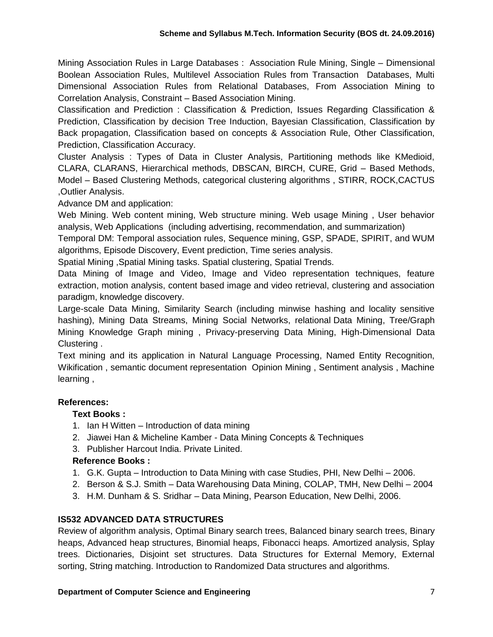Mining Association Rules in Large Databases : Association Rule Mining, Single – Dimensional Boolean Association Rules, Multilevel Association Rules from Transaction Databases, Multi Dimensional Association Rules from Relational Databases, From Association Mining to Correlation Analysis, Constraint – Based Association Mining.

Classification and Prediction : Classification & Prediction, Issues Regarding Classification & Prediction, Classification by decision Tree Induction, Bayesian Classification, Classification by Back propagation, Classification based on concepts & Association Rule, Other Classification, Prediction, Classification Accuracy.

Cluster Analysis : Types of Data in Cluster Analysis, Partitioning methods like KMedioid, CLARA, CLARANS, Hierarchical methods, DBSCAN, BIRCH, CURE, Grid – Based Methods, Model – Based Clustering Methods, categorical clustering algorithms , STIRR, ROCK,CACTUS ,Outlier Analysis.

Advance DM and application:

Web Mining. Web content mining, Web structure mining. Web usage Mining , User behavior analysis, Web Applications (including advertising, recommendation, and summarization)

Temporal DM: Temporal association rules, Sequence mining, GSP, SPADE, SPIRIT, and WUM algorithms, Episode Discovery, Event prediction, Time series analysis.

Spatial Mining ,Spatial Mining tasks. Spatial clustering, Spatial Trends.

Data Mining of Image and Video, Image and Video representation techniques, feature extraction, motion analysis, content based image and video retrieval, clustering and association paradigm, knowledge discovery.

Large-scale Data Mining, Similarity Search (including minwise hashing and locality sensitive hashing), Mining Data Streams, Mining Social Networks, relational Data Mining, Tree/Graph Mining Knowledge Graph mining , Privacy-preserving Data Mining, High-Dimensional Data Clustering .

Text mining and its application in Natural Language Processing, Named Entity Recognition, Wikification , semantic document representation Opinion Mining , Sentiment analysis , Machine learning ,

### **References:**

### **Text Books :**

- 1. Ian H Witten Introduction of data mining
- 2. Jiawei Han & Micheline Kamber Data Mining Concepts & Techniques
- 3. Publisher Harcout India. Private Linited.

# **Reference Books :**

- 1. G.K. Gupta Introduction to Data Mining with case Studies, PHI, New Delhi 2006.
- 2. Berson & S.J. Smith Data Warehousing Data Mining, COLAP, TMH, New Delhi 2004
- 3. H.M. Dunham & S. Sridhar Data Mining, Pearson Education, New Delhi, 2006.

# **IS532 ADVANCED DATA STRUCTURES**

Review of algorithm analysis, Optimal Binary search trees, Balanced binary search trees, Binary heaps, Advanced heap structures, Binomial heaps, Fibonacci heaps. Amortized analysis, Splay trees. Dictionaries, Disjoint set structures. Data Structures for External Memory, External sorting, String matching. Introduction to Randomized Data structures and algorithms.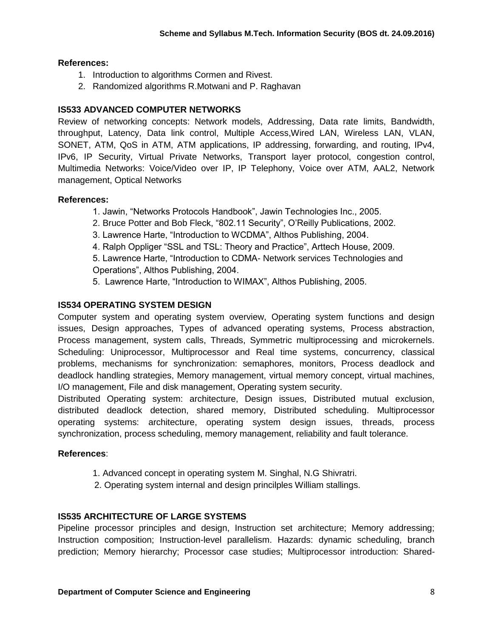### **References:**

- 1. Introduction to algorithms Cormen and Rivest.
- 2. Randomized algorithms R.Motwani and P. Raghavan

### **IS533 ADVANCED COMPUTER NETWORKS**

Review of networking concepts: Network models, Addressing, Data rate limits, Bandwidth, throughput, Latency, Data link control, Multiple Access,Wired LAN, Wireless LAN, VLAN, SONET, ATM, QoS in ATM, ATM applications, IP addressing, forwarding, and routing, IPv4, IPv6, IP Security, Virtual Private Networks, Transport layer protocol, congestion control, Multimedia Networks: Voice/Video over IP, IP Telephony, Voice over ATM, AAL2, Network management, Optical Networks

#### **References:**

- 1. Jawin, "Networks Protocols Handbook", Jawin Technologies Inc., 2005.
- 2. Bruce Potter and Bob Fleck, "802.11 Security", O'Reilly Publications, 2002.
- 3. Lawrence Harte, "Introduction to WCDMA", Althos Publishing, 2004.
- 4. Ralph Oppliger "SSL and TSL: Theory and Practice", Arttech House, 2009.
- 5. Lawrence Harte, "Introduction to CDMA- Network services Technologies and Operations", Althos Publishing, 2004.
- 5. Lawrence Harte, "Introduction to WIMAX", Althos Publishing, 2005.

### **IS534 OPERATING SYSTEM DESIGN**

Computer system and operating system overview, Operating system functions and design issues, Design approaches, Types of advanced operating systems, Process abstraction, Process management, system calls, Threads, Symmetric multiprocessing and microkernels. Scheduling: Uniprocessor, Multiprocessor and Real time systems, concurrency, classical problems, mechanisms for synchronization: semaphores, monitors, Process deadlock and deadlock handling strategies, Memory management, virtual memory concept, virtual machines, I/O management, File and disk management, Operating system security.

Distributed Operating system: architecture, Design issues, Distributed mutual exclusion, distributed deadlock detection, shared memory, Distributed scheduling. Multiprocessor operating systems: architecture, operating system design issues, threads, process synchronization, process scheduling, memory management, reliability and fault tolerance.

#### **References**:

- 1. Advanced concept in operating system M. Singhal, N.G Shivratri.
- 2. Operating system internal and design princilples William stallings.

### **IS535 ARCHITECTURE OF LARGE SYSTEMS**

Pipeline processor principles and design, Instruction set architecture; Memory addressing; Instruction composition; Instruction-level parallelism. Hazards: dynamic scheduling, branch prediction; Memory hierarchy; Processor case studies; Multiprocessor introduction: Shared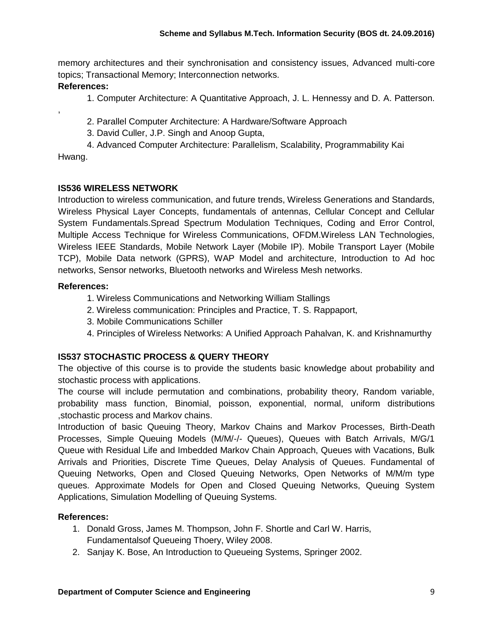memory architectures and their synchronisation and consistency issues, Advanced multi-core topics; Transactional Memory; Interconnection networks.

### **References:**

1. Computer Architecture: A Quantitative Approach, J. L. Hennessy and D. A. Patterson.

2. Parallel Computer Architecture: A Hardware/Software Approach

3. David Culler, J.P. Singh and Anoop Gupta,

4. Advanced Computer Architecture: Parallelism, Scalability, Programmability Kai

Hwang.

,

### **IS536 WIRELESS NETWORK**

Introduction to wireless communication, and future trends, Wireless Generations and Standards, Wireless Physical Layer Concepts, fundamentals of antennas, Cellular Concept and Cellular System Fundamentals.Spread Spectrum Modulation Techniques, Coding and Error Control, Multiple Access Technique for Wireless Communications, OFDM.Wireless LAN Technologies, Wireless IEEE Standards, Mobile Network Layer (Mobile IP). Mobile Transport Layer (Mobile TCP), Mobile Data network (GPRS), WAP Model and architecture, Introduction to Ad hoc networks, Sensor networks, Bluetooth networks and Wireless Mesh networks.

### **References:**

- 1. Wireless Communications and Networking William Stallings
- 2. Wireless communication: Principles and Practice, T. S. Rappaport,
- 3. Mobile Communications Schiller
- 4. Principles of Wireless Networks: A Unified Approach Pahalvan, K. and Krishnamurthy

# **IS537 STOCHASTIC PROCESS & QUERY THEORY**

The objective of this course is to provide the students basic knowledge about probability and stochastic process with applications.

The course will include permutation and combinations, probability theory, Random variable, [probability mass function,](http://en.wikipedia.org/wiki/Probability_distribution#Terminology) Binomial, poisson, exponential, normal, uniform distributions ,stochastic process and Markov chains.

Introduction of basic Queuing Theory, Markov Chains and Markov Processes, Birth-Death Processes, Simple Queuing Models (M/M/-/- Queues), Queues with Batch Arrivals, M/G/1 Queue with Residual Life and Imbedded Markov Chain Approach, Queues with Vacations, Bulk Arrivals and Priorities, Discrete Time Queues, Delay Analysis of Queues. Fundamental of Queuing Networks, Open and Closed Queuing Networks, Open Networks of M/M/m type queues. Approximate Models for Open and Closed Queuing Networks, Queuing System Applications, Simulation Modelling of Queuing Systems.

### **References:**

- 1. Donald Gross, James M. Thompson, John F. Shortle and Carl W. Harris, Fundamentalsof Queueing Thoery, Wiley 2008.
- 2. Sanjay K. Bose, An Introduction to Queueing Systems, Springer 2002.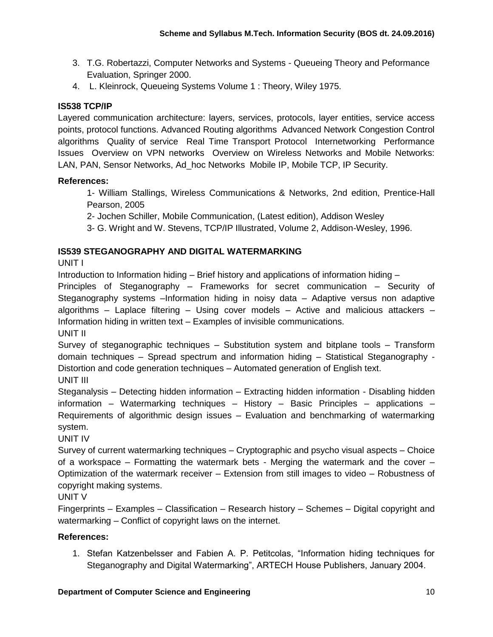- 3. T.G. Robertazzi, Computer Networks and Systems Queueing Theory and Peformance Evaluation, Springer 2000.
- 4. L. Kleinrock, Queueing Systems Volume 1 : Theory, Wiley 1975.

# **IS538 TCP/IP**

Layered communication architecture: layers, services, protocols, layer entities, service access points, protocol functions. Advanced Routing algorithms Advanced Network Congestion Control algorithms Quality of service Real Time Transport Protocol Internetworking Performance Issues Overview on VPN networks Overview on Wireless Networks and Mobile Networks: LAN, PAN, Sensor Networks, Ad\_hoc Networks Mobile IP, Mobile TCP, IP Security.

### **References:**

1- William Stallings, Wireless Communications & Networks, 2nd edition, Prentice-Hall Pearson, 2005

2- Jochen Schiller, Mobile Communication, (Latest edition), Addison Wesley

3- G. Wright and W. Stevens, TCP/IP Illustrated, Volume 2, Addison-Wesley, 1996.

### **IS539 STEGANOGRAPHY AND DIGITAL WATERMARKING**

UNIT I

Introduction to Information hiding – Brief history and applications of information hiding –

Principles of Steganography – Frameworks for secret communication – Security of Steganography systems –Information hiding in noisy data – Adaptive versus non adaptive algorithms – Laplace filtering – Using cover models – Active and malicious attackers – Information hiding in written text – Examples of invisible communications.

UNIT II

Survey of steganographic techniques – Substitution system and bitplane tools – Transform domain techniques – Spread spectrum and information hiding – Statistical Steganography - Distortion and code generation techniques – Automated generation of English text. UNIT III

Steganalysis – Detecting hidden information – Extracting hidden information - Disabling hidden information – Watermarking techniques – History – Basic Principles – applications – Requirements of algorithmic design issues – Evaluation and benchmarking of watermarking system.

UNIT IV

Survey of current watermarking techniques – Cryptographic and psycho visual aspects – Choice of a workspace – Formatting the watermark bets - Merging the watermark and the cover – Optimization of the watermark receiver – Extension from still images to video – Robustness of copyright making systems.

UNIT V

Fingerprints – Examples – Classification – Research history – Schemes – Digital copyright and watermarking – Conflict of copyright laws on the internet.

### **References:**

1. Stefan Katzenbelsser and Fabien A. P. Petitcolas, "Information hiding techniques for Steganography and Digital Watermarking", ARTECH House Publishers, January 2004.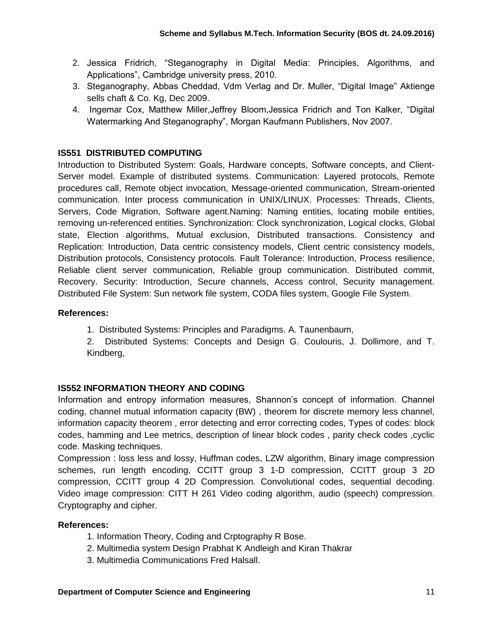- 2. Jessica Fridrich, "Steganography in Digital Media: Principles, Algorithms, and Applications", Cambridge university press, 2010.
- 3. Steganography, Abbas Cheddad, Vdm Verlag and Dr. Muller, "Digital Image" Aktienge sells chaft & Co. Kg, Dec 2009.
- 4. Ingemar Cox, Matthew Miller,Jeffrey Bloom,Jessica Fridrich and Ton Kalker, "Digital Watermarking And Steganography", Morgan Kaufmann Publishers, Nov 2007.

# **IS551 DISTRIBUTED COMPUTING**

Introduction to Distributed System: Goals, Hardware concepts, Software concepts, and Client-Server model. Example of distributed systems. Communication: Layered protocols, Remote procedures call, Remote object invocation, Message-oriented communication, Stream-oriented communication. Inter process communication in UNIX/LINUX. Processes: Threads, Clients, Servers, Code Migration, Software agent.Naming: Naming entities, locating mobile entities, removing un-referenced entities. Synchronization: Clock synchronization, Logical clocks, Global state, Election algorithms, Mutual exclusion, Distributed transactions. Consistency and Replication: Introduction, Data centric consistency models, Client centric consistency models, Distribution protocols, Consistency protocols. Fault Tolerance: Introduction, Process resilience, Reliable client server communication, Reliable group communication. Distributed commit, Recovery. Security: Introduction, Secure channels, Access control, Security management. Distributed File System: Sun network file system, CODA files system, Google File System.

### **References:**

- 1. Distributed Systems: Principles and Paradigms. A. Taunenbaum,
- 2. Distributed Systems: Concepts and Design G. Coulouris, J. Dollimore, and T. Kindberg,

### **IS552 INFORMATION THEORY AND CODING**

Information and entropy information measures, Shannon's concept of information. Channel coding, channel mutual information capacity (BW) , theorem for discrete memory less channel, information capacity theorem , error detecting and error correcting codes, Types of codes: block codes, hamming and Lee metrics, description of linear block codes, parity check codes, cyclic code. Masking techniques.

Compression : loss less and lossy, Huffman codes, LZW algorithm, Binary image compression schemes, run length encoding, CCITT group 3 1-D compression, CCITT group 3 2D compression, CCITT group 4 2D Compression. Convolutional codes, sequential decoding. Video image compression: CITT H 261 Video coding algorithm, audio (speech) compression. Cryptography and cipher.

### **References:**

- 1. Information Theory, Coding and Crptography R Bose.
- 2. Multimedia system Design Prabhat K Andleigh and Kiran Thakrar
- 3. Multimedia Communications Fred Halsall.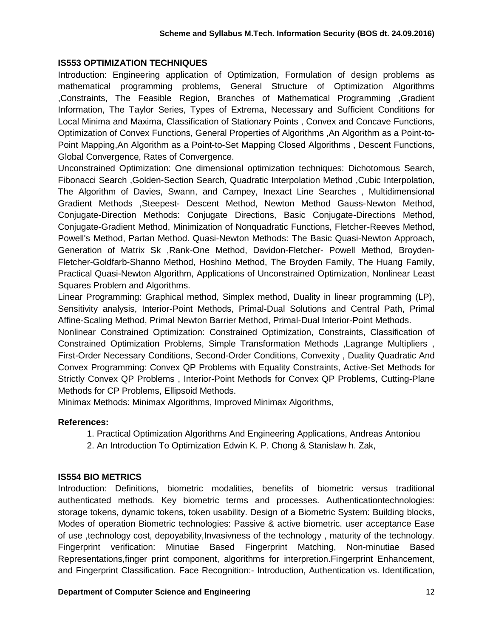#### **IS553 OPTIMIZATION TECHNIQUES**

Introduction: Engineering application of Optimization, Formulation of design problems as mathematical programming problems, General Structure of Optimization Algorithms ,Constraints, The Feasible Region, Branches of Mathematical Programming ,Gradient Information, The Taylor Series, Types of Extrema, Necessary and Sufficient Conditions for Local Minima and Maxima, Classification of Stationary Points , Convex and Concave Functions, Optimization of Convex Functions, General Properties of Algorithms ,An Algorithm as a Point-to-Point Mapping,An Algorithm as a Point-to-Set Mapping Closed Algorithms , Descent Functions, Global Convergence, Rates of Convergence.

Unconstrained Optimization: One dimensional optimization techniques: Dichotomous Search, Fibonacci Search ,Golden-Section Search, Quadratic Interpolation Method ,Cubic Interpolation, The Algorithm of Davies, Swann, and Campey, Inexact Line Searches , Multidimensional Gradient Methods ,Steepest- Descent Method, Newton Method Gauss-Newton Method, Conjugate-Direction Methods: Conjugate Directions, Basic Conjugate-Directions Method, Conjugate-Gradient Method, Minimization of Nonquadratic Functions, Fletcher-Reeves Method, Powell's Method, Partan Method. Quasi-Newton Methods: The Basic Quasi-Newton Approach, Generation of Matrix Sk ,Rank-One Method, Davidon-Fletcher- Powell Method, Broyden-Fletcher-Goldfarb-Shanno Method, Hoshino Method, The Broyden Family, The Huang Family, Practical Quasi-Newton Algorithm, Applications of Unconstrained Optimization, Nonlinear Least Squares Problem and Algorithms.

Linear Programming: Graphical method, Simplex method, Duality in linear programming (LP), Sensitivity analysis, Interior-Point Methods, Primal-Dual Solutions and Central Path, Primal Affine-Scaling Method, Primal Newton Barrier Method, Primal-Dual Interior-Point Methods.

Nonlinear Constrained Optimization: Constrained Optimization, Constraints, Classification of Constrained Optimization Problems, Simple Transformation Methods ,Lagrange Multipliers , First-Order Necessary Conditions, Second-Order Conditions, Convexity , Duality Quadratic And Convex Programming: Convex QP Problems with Equality Constraints, Active-Set Methods for Strictly Convex QP Problems , Interior-Point Methods for Convex QP Problems, Cutting-Plane Methods for CP Problems, Ellipsoid Methods.

Minimax Methods: Minimax Algorithms, Improved Minimax Algorithms,

#### **References:**

- 1. Practical Optimization Algorithms And Engineering Applications, Andreas Antoniou
- 2. An Introduction To Optimization Edwin K. P. Chong & Stanislaw h. Zak,

#### **IS554 BIO METRICS**

Introduction: Definitions, biometric modalities, benefits of biometric versus traditional authenticated methods. Key biometric terms and processes. Authenticationtechnologies: storage tokens, dynamic tokens, token usability. Design of a Biometric System: Building blocks, Modes of operation Biometric technologies: Passive & active biometric. user acceptance Ease of use ,technology cost, depoyability,Invasivness of the technology , maturity of the technology. Fingerprint verification: Minutiae Based Fingerprint Matching, Non-minutiae Based Representations,finger print component, algorithms for interpretion.Fingerprint Enhancement, and Fingerprint Classification. Face Recognition:- Introduction, Authentication vs. Identification,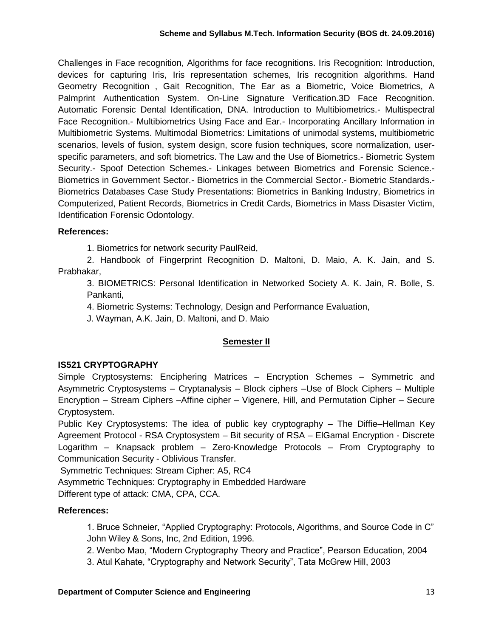Challenges in Face recognition, Algorithms for face recognitions. Iris Recognition: Introduction, devices for capturing Iris, Iris representation schemes, Iris recognition algorithms. Hand Geometry Recognition , Gait Recognition, The Ear as a Biometric, Voice Biometrics, A Palmprint Authentication System. On-Line Signature Verification.3D Face Recognition. Automatic Forensic Dental Identification, DNA. Introduction to Multibiometrics.- Multispectral Face Recognition.- Multibiometrics Using Face and Ear.- Incorporating Ancillary Information in Multibiometric Systems. Multimodal Biometrics: Limitations of unimodal systems, multibiometric scenarios, levels of fusion, system design, score fusion techniques, score normalization, userspecific parameters, and soft biometrics. The Law and the Use of Biometrics.- Biometric System Security.- Spoof Detection Schemes.- Linkages between Biometrics and Forensic Science.- Biometrics in Government Sector.- Biometrics in the Commercial Sector.- Biometric Standards.- Biometrics Databases Case Study Presentations: Biometrics in Banking Industry, Biometrics in Computerized, Patient Records, Biometrics in Credit Cards, Biometrics in Mass Disaster Victim, Identification Forensic Odontology.

### **References:**

1. Biometrics for network security PaulReid,

2. Handbook of Fingerprint Recognition D. Maltoni, D. Maio, A. K. Jain, and S. Prabhakar,

3. BIOMETRICS: Personal Identification in Networked Society A. K. Jain, R. Bolle, S. Pankanti,

4. Biometric Systems: Technology, Design and Performance Evaluation,

J. Wayman, A.K. Jain, D. Maltoni, and D. Maio

### **Semester II**

### **IS521 CRYPTOGRAPHY**

Simple Cryptosystems: Enciphering Matrices – Encryption Schemes – Symmetric and Asymmetric Cryptosystems – Cryptanalysis – Block ciphers –Use of Block Ciphers – Multiple Encryption – Stream Ciphers –Affine cipher – Vigenere, Hill, and Permutation Cipher – Secure Cryptosystem.

Public Key Cryptosystems: The idea of public key cryptography – The Diffie–Hellman Key Agreement Protocol - RSA Cryptosystem – Bit security of RSA – ElGamal Encryption - Discrete Logarithm – Knapsack problem – Zero-Knowledge Protocols – From Cryptography to Communication Security - Oblivious Transfer.

Symmetric Techniques: Stream Cipher: A5, RC4

Asymmetric Techniques: Cryptography in Embedded Hardware

Different type of attack: CMA, CPA, CCA.

### **References:**

1. Bruce Schneier, "Applied Cryptography: Protocols, Algorithms, and Source Code in C" John Wiley & Sons, Inc, 2nd Edition, 1996.

2. Wenbo Mao, "Modern Cryptography Theory and Practice", Pearson Education, 2004

3. Atul Kahate, "Cryptography and Network Security", Tata McGrew Hill, 2003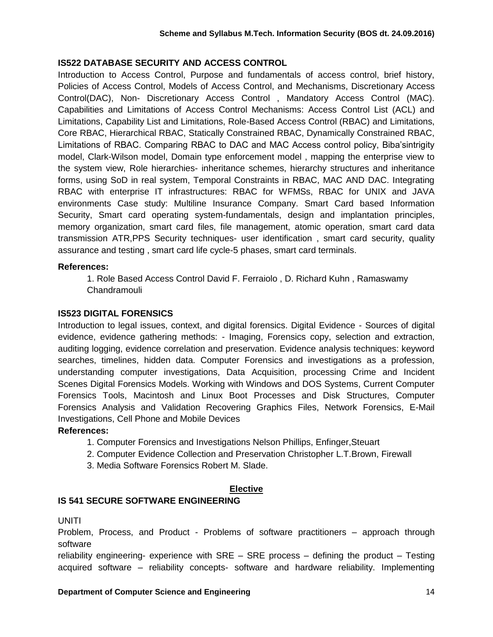#### **IS522 DATABASE SECURITY AND ACCESS CONTROL**

Introduction to Access Control, Purpose and fundamentals of access control, brief history, Policies of Access Control, Models of Access Control, and Mechanisms, Discretionary Access Control(DAC), Non- Discretionary Access Control , Mandatory Access Control (MAC). Capabilities and Limitations of Access Control Mechanisms: Access Control List (ACL) and Limitations, Capability List and Limitations, Role-Based Access Control (RBAC) and Limitations, Core RBAC, Hierarchical RBAC, Statically Constrained RBAC, Dynamically Constrained RBAC, Limitations of RBAC. Comparing RBAC to DAC and MAC Access control policy, Biba'sintrigity model, Clark-Wilson model, Domain type enforcement model , mapping the enterprise view to the system view, Role hierarchies- inheritance schemes, hierarchy structures and inheritance forms, using SoD in real system, Temporal Constraints in RBAC, MAC AND DAC. Integrating RBAC with enterprise IT infrastructures: RBAC for WFMSs, RBAC for UNIX and JAVA environments Case study: Multiline Insurance Company. Smart Card based Information Security, Smart card operating system-fundamentals, design and implantation principles, memory organization, smart card files, file management, atomic operation, smart card data transmission ATR,PPS Security techniques- user identification , smart card security, quality assurance and testing , smart card life cycle-5 phases, smart card terminals.

#### **References:**

1. Role Based Access Control David F. Ferraiolo , D. Richard Kuhn , Ramaswamy Chandramouli

#### **IS523 DIGITAL FORENSICS**

Introduction to legal issues, context, and digital forensics. Digital Evidence - Sources of digital evidence, evidence gathering methods: - Imaging, Forensics copy, selection and extraction, auditing logging, evidence correlation and preservation. Evidence analysis techniques: keyword searches, timelines, hidden data. Computer Forensics and investigations as a profession, understanding computer investigations, Data Acquisition, processing Crime and Incident Scenes Digital Forensics Models. Working with Windows and DOS Systems, Current Computer Forensics Tools, Macintosh and Linux Boot Processes and Disk Structures, Computer Forensics Analysis and Validation Recovering Graphics Files, Network Forensics, E-Mail Investigations, Cell Phone and Mobile Devices

### **References:**

- 1. Computer Forensics and Investigations Nelson Phillips, Enfinger,Steuart
- 2. Computer Evidence Collection and Preservation Christopher L.T.Brown, Firewall
- 3. Media Software Forensics Robert M. Slade.

#### **Elective**

#### **IS 541 SECURE SOFTWARE ENGINEERING**

#### UNITI

Problem, Process, and Product - Problems of software practitioners – approach through software

reliability engineering- experience with SRE – SRE process – defining the product – Testing acquired software – reliability concepts- software and hardware reliability. Implementing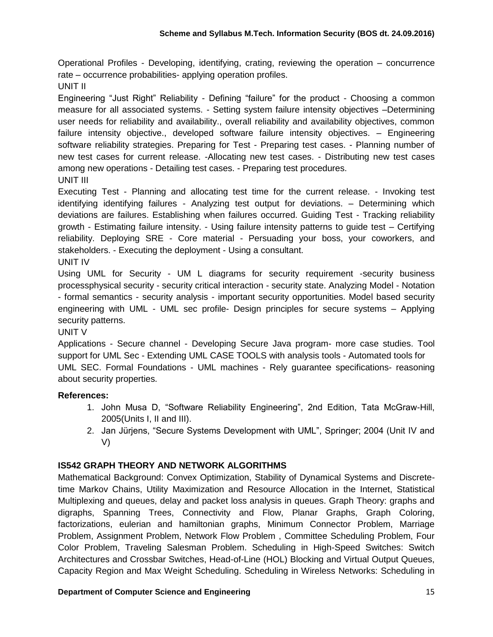Operational Profiles - Developing, identifying, crating, reviewing the operation – concurrence rate – occurrence probabilities- applying operation profiles.

UNIT II

Engineering "Just Right" Reliability - Defining "failure" for the product - Choosing a common measure for all associated systems. - Setting system failure intensity objectives –Determining user needs for reliability and availability., overall reliability and availability objectives, common failure intensity objective., developed software failure intensity objectives. – Engineering software reliability strategies. Preparing for Test - Preparing test cases. - Planning number of new test cases for current release. -Allocating new test cases. - Distributing new test cases among new operations - Detailing test cases. - Preparing test procedures. UNIT III

Executing Test - Planning and allocating test time for the current release. - Invoking test identifying identifying failures - Analyzing test output for deviations. – Determining which deviations are failures. Establishing when failures occurred. Guiding Test - Tracking reliability growth - Estimating failure intensity. - Using failure intensity patterns to guide test – Certifying reliability. Deploying SRE - Core material - Persuading your boss, your coworkers, and stakeholders. - Executing the deployment - Using a consultant. UNIT IV

Using UML for Security - UM L diagrams for security requirement -security business processphysical security - security critical interaction - security state. Analyzing Model - Notation - formal semantics - security analysis - important security opportunities. Model based security engineering with UML - UML sec profile- Design principles for secure systems – Applying security patterns.

#### UNIT V

Applications - Secure channel - Developing Secure Java program- more case studies. Tool support for UML Sec - Extending UML CASE TOOLS with analysis tools - Automated tools for UML SEC. Formal Foundations - UML machines - Rely guarantee specifications- reasoning about security properties.

#### **References:**

- 1. John Musa D, "Software Reliability Engineering", 2nd Edition, Tata McGraw-Hill, 2005(Units I, II and III).
- 2. Jan Jürjens, "Secure Systems Development with UML", Springer; 2004 (Unit IV and V)

### **IS542 GRAPH THEORY AND NETWORK ALGORITHMS**

Mathematical Background: Convex Optimization, Stability of Dynamical Systems and Discretetime Markov Chains, Utility Maximization and Resource Allocation in the Internet, Statistical Multiplexing and queues, delay and packet loss analysis in queues. Graph Theory: graphs and digraphs, Spanning Trees, Connectivity and Flow, Planar Graphs, Graph Coloring, factorizations, eulerian and hamiltonian graphs, Minimum Connector Problem, Marriage Problem, Assignment Problem, Network Flow Problem , Committee Scheduling Problem, Four Color Problem, Traveling Salesman Problem. Scheduling in High-Speed Switches: Switch Architectures and Crossbar Switches, Head-of-Line (HOL) Blocking and Virtual Output Queues, Capacity Region and Max Weight Scheduling. Scheduling in Wireless Networks: Scheduling in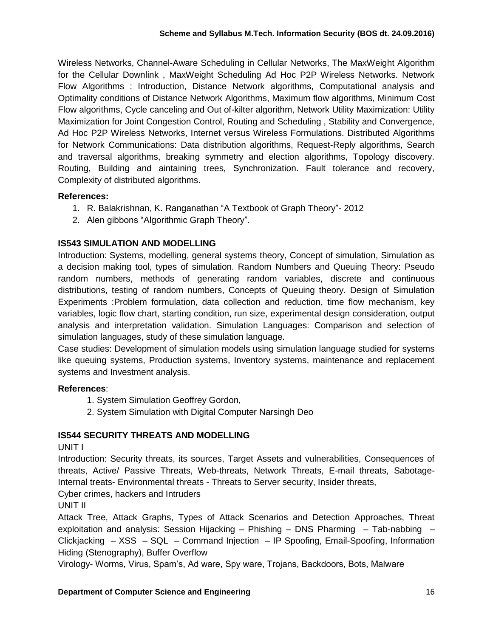Wireless Networks, Channel-Aware Scheduling in Cellular Networks, The MaxWeight Algorithm for the Cellular Downlink , MaxWeight Scheduling Ad Hoc P2P Wireless Networks. Network Flow Algorithms : Introduction, Distance Network algorithms, Computational analysis and Optimality conditions of Distance Network Algorithms, Maximum flow algorithms, Minimum Cost Flow algorithms, Cycle canceling and Out of-kilter algorithm, Network Utility Maximization: Utility Maximization for Joint Congestion Control, Routing and Scheduling , Stability and Convergence, Ad Hoc P2P Wireless Networks, Internet versus Wireless Formulations. Distributed Algorithms for Network Communications: Data distribution algorithms, Request-Reply algorithms, Search and traversal algorithms, breaking symmetry and election algorithms, Topology discovery. Routing, Building and aintaining trees, Synchronization. Fault tolerance and recovery, Complexity of distributed algorithms.

### **References:**

- 1. [R. Balakrishnan,](https://www.google.co.in/search?biw=1366&bih=667&tbm=bks&tbm=bks&q=inauthor:%22R.+Balakrishnan%22&sa=X&ei=uKSTVJj_EMuA8QXDroDgCQ&ved=0CB0Q9AgwAA) [K. Ranganathan](https://www.google.co.in/search?biw=1366&bih=667&tbm=bks&tbm=bks&q=inauthor:%22K.+Ranganathan%22&sa=X&ei=uKSTVJj_EMuA8QXDroDgCQ&ved=0CB4Q9AgwAA) ["A Textbook of Graph Theory"](https://books.google.co.in/books?id=HS9iDhAuFuUC&printsec=frontcover&dq=book+for+graph+theory&hl=en&sa=X&ei=uKSTVJj_EMuA8QXDroDgCQ&ved=0CBsQ6AEwAA) 2012
- 2. Alen gibbons ["Algorithmic Graph Theory"](https://books.google.co.in/books?id=Be6t04pgggwC&printsec=frontcover&dq=book+for+graph+theory&hl=en&sa=X&ei=uKSTVJj_EMuA8QXDroDgCQ&ved=0CFAQ6AEwCQ).

### **IS543 SIMULATION AND MODELLING**

Introduction: Systems, modelling, general systems theory, Concept of simulation, Simulation as a decision making tool, types of simulation. Random Numbers and Queuing Theory: Pseudo random numbers, methods of generating random variables, discrete and continuous distributions, testing of random numbers, Concepts of Queuing theory. Design of Simulation Experiments :Problem formulation, data collection and reduction, time flow mechanism, key variables, logic flow chart, starting condition, run size, experimental design consideration, output analysis and interpretation validation. Simulation Languages: Comparison and selection of simulation languages, study of these simulation language.

Case studies: Development of simulation models using simulation language studied for systems like queuing systems, Production systems, Inventory systems, maintenance and replacement systems and Investment analysis.

#### **References**:

- 1. System Simulation Geoffrey Gordon,
- 2. System Simulation with Digital Computer Narsingh Deo

### **IS544 SECURITY THREATS AND MODELLING**

UNIT I

Introduction: Security threats, its sources, Target Assets and vulnerabilities, Consequences of threats, Active/ Passive Threats, Web-threats, Network Threats, E-mail threats, Sabotage-Internal treats- Environmental threats - Threats to Server security, Insider threats,

Cyber crimes, hackers and Intruders

UNIT II

Attack Tree, Attack Graphs, Types of Attack Scenarios and Detection Approaches, Threat exploitation and analysis: Session Hijacking – Phishing – DNS Pharming – Tab-nabbing – Clickjacking – XSS – SQL – Command Injection – IP Spoofing, Email-Spoofing, Information Hiding (Stenography), Buffer Overflow

Virology- Worms, Virus, Spam's, Ad ware, Spy ware, Trojans, Backdoors, Bots, Malware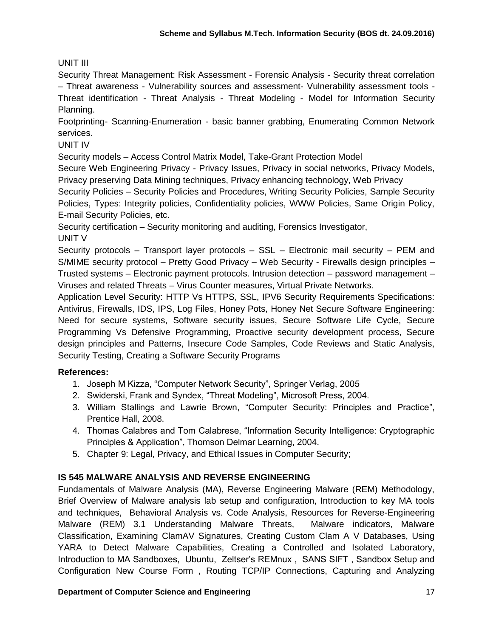### UNIT III

Security Threat Management: Risk Assessment - Forensic Analysis - Security threat correlation – Threat awareness - Vulnerability sources and assessment- Vulnerability assessment tools - Threat identification - Threat Analysis - Threat Modeling - Model for Information Security Planning.

Footprinting- Scanning-Enumeration - basic banner grabbing, Enumerating Common Network services.

UNIT IV

Security models – Access Control Matrix Model, Take-Grant Protection Model

Secure Web Engineering Privacy - Privacy Issues, Privacy in social networks, Privacy Models, Privacy preserving Data Mining techniques, Privacy enhancing technology, Web Privacy

Security Policies – Security Policies and Procedures, Writing Security Policies, Sample Security Policies, Types: Integrity policies, Confidentiality policies, WWW Policies, Same Origin Policy, E-mail Security Policies, etc.

Security certification – Security monitoring and auditing, Forensics Investigator, UNIT V

Security protocols – Transport layer protocols – SSL – Electronic mail security – PEM and S/MIME security protocol – Pretty Good Privacy – Web Security - Firewalls design principles – Trusted systems – Electronic payment protocols. Intrusion detection – password management – Viruses and related Threats – Virus Counter measures, Virtual Private Networks.

Application Level Security: HTTP Vs HTTPS, SSL, IPV6 Security Requirements Specifications: Antivirus, Firewalls, IDS, IPS, Log Files, Honey Pots, Honey Net Secure Software Engineering: Need for secure systems, Software security issues, Secure Software Life Cycle, Secure Programming Vs Defensive Programming, Proactive security development process, Secure design principles and Patterns, Insecure Code Samples, Code Reviews and Static Analysis, Security Testing, Creating a Software Security Programs

### **References:**

- 1. Joseph M Kizza, "Computer Network Security", Springer Verlag, 2005
- 2. Swiderski, Frank and Syndex, "Threat Modeling", Microsoft Press, 2004.
- 3. William Stallings and Lawrie Brown, "Computer Security: Principles and Practice", Prentice Hall, 2008.
- 4. Thomas Calabres and Tom Calabrese, "Information Security Intelligence: Cryptographic Principles & Application", Thomson Delmar Learning, 2004.
- 5. Chapter 9: Legal, Privacy, and Ethical Issues in Computer Security;

### **IS 545 MALWARE ANALYSIS AND REVERSE ENGINEERING**

Fundamentals of Malware Analysis (MA), Reverse Engineering Malware (REM) Methodology, Brief Overview of Malware analysis lab setup and configuration, Introduction to key MA tools and techniques, Behavioral Analysis vs. Code Analysis, Resources for Reverse-Engineering Malware (REM) 3.1 Understanding Malware Threats, Malware indicators, Malware Classification, Examining ClamAV Signatures, Creating Custom Clam A V Databases, Using YARA to Detect Malware Capabilities, Creating a Controlled and Isolated Laboratory, Introduction to MA Sandboxes, Ubuntu, Zeltser's REMnux , SANS SIFT , Sandbox Setup and Configuration New Course Form , Routing TCP/IP Connections, Capturing and Analyzing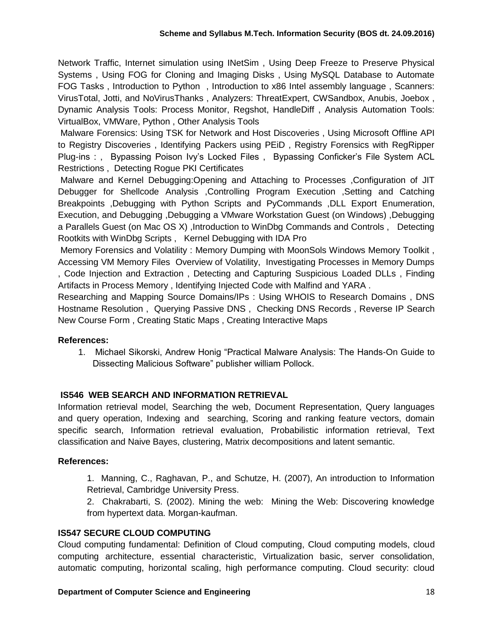Network Traffic, Internet simulation using INetSim , Using Deep Freeze to Preserve Physical Systems , Using FOG for Cloning and Imaging Disks , Using MySQL Database to Automate FOG Tasks , Introduction to Python , Introduction to x86 Intel assembly language , Scanners: VirusTotal, Jotti, and NoVirusThanks , Analyzers: ThreatExpert, CWSandbox, Anubis, Joebox , Dynamic Analysis Tools: Process Monitor, Regshot, HandleDiff , Analysis Automation Tools: VirtualBox, VMWare, Python , Other Analysis Tools

Malware Forensics: Using TSK for Network and Host Discoveries , Using Microsoft Offline API to Registry Discoveries , Identifying Packers using PEiD , Registry Forensics with RegRipper Plug-ins : , Bypassing Poison Ivy's Locked Files , Bypassing Conficker's File System ACL Restrictions , Detecting Rogue PKI Certificates

Malware and Kernel Debugging:Opening and Attaching to Processes ,Configuration of JIT Debugger for Shellcode Analysis ,Controlling Program Execution ,Setting and Catching Breakpoints ,Debugging with Python Scripts and PyCommands ,DLL Export Enumeration, Execution, and Debugging ,Debugging a VMware Workstation Guest (on Windows) ,Debugging a Parallels Guest (on Mac OS X) ,Introduction to WinDbg Commands and Controls , Detecting Rootkits with WinDbg Scripts , Kernel Debugging with IDA Pro

Memory Forensics and Volatility : Memory Dumping with MoonSols Windows Memory Toolkit , Accessing VM Memory Files Overview of Volatility, Investigating Processes in Memory Dumps , Code Injection and Extraction , Detecting and Capturing Suspicious Loaded DLLs , Finding Artifacts in Process Memory , Identifying Injected Code with Malfind and YARA .

Researching and Mapping Source Domains/IPs : Using WHOIS to Research Domains , DNS Hostname Resolution , Querying Passive DNS , Checking DNS Records , Reverse IP Search New Course Form , Creating Static Maps , Creating Interactive Maps

### **References:**

1. Michael Sikorski, Andrew Honig "Practical Malware Analysis: The Hands-On Guide to Dissecting Malicious Software" publisher william Pollock.

### **IS546 WEB SEARCH AND INFORMATION RETRIEVAL**

Information retrieval model, Searching the web, Document Representation, Query languages and query operation, Indexing and searching, Scoring and ranking feature vectors, domain specific search, Information retrieval evaluation, Probabilistic information retrieval, Text classification and Naive Bayes, clustering, Matrix decompositions and latent semantic.

#### **References:**

1. Manning, C., Raghavan, P., and Schutze, H. (2007), An introduction to Information Retrieval, Cambridge University Press.

2. Chakrabarti, S. (2002). Mining the web: Mining the Web: Discovering knowledge from hypertext data. Morgan-kaufman.

#### **IS547 SECURE CLOUD COMPUTING**

Cloud computing fundamental: Definition of Cloud computing, Cloud computing models, cloud computing architecture, essential characteristic, Virtualization basic, server consolidation, automatic computing, horizontal scaling, high performance computing. Cloud security: cloud

#### **Department of Computer Science and Engineering 18 and 18 and 18 and 18 and 18 and 18 and 18 and 18 and 18 and 18 and 18 and 18 and 18 and 18 and 18 and 18 and 18 and 18 and 18 and 18 and 18 and 18 and 18 and 18 and 18 and**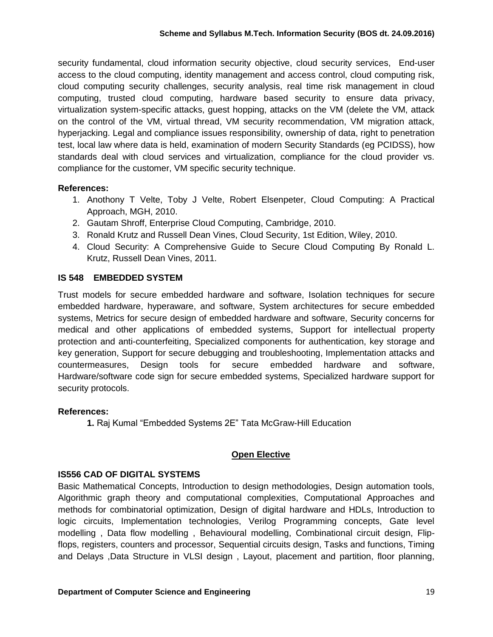security fundamental, cloud information security objective, cloud security services, End-user access to the cloud computing, identity management and access control, cloud computing risk, cloud computing security challenges, security analysis, real time risk management in cloud computing, trusted cloud computing, hardware based security to ensure data privacy, virtualization system-specific attacks, guest hopping, attacks on the VM (delete the VM, attack on the control of the VM, virtual thread, VM security recommendation, VM migration attack, hyperjacking. Legal and compliance issues responsibility, ownership of data, right to penetration test, local law where data is held, examination of modern Security Standards (eg PCIDSS), how standards deal with cloud services and virtualization, compliance for the cloud provider vs. compliance for the customer, VM specific security technique.

### **References:**

- 1. Anothony T Velte, Toby J Velte, Robert Elsenpeter, Cloud Computing: A Practical Approach, MGH, 2010.
- 2. Gautam Shroff, Enterprise Cloud Computing, Cambridge, 2010.
- 3. Ronald Krutz and Russell Dean Vines, Cloud Security, 1st Edition, Wiley, 2010.
- 4. Cloud Security: A Comprehensive Guide to Secure Cloud Computing By Ronald L. Krutz, Russell Dean Vines, 2011.

### **IS 548 EMBEDDED SYSTEM**

Trust models for secure embedded hardware and software, Isolation techniques for secure embedded hardware, hyperaware, and software, System architectures for secure embedded systems, Metrics for secure design of embedded hardware and software, Security concerns for medical and other applications of embedded systems, Support for intellectual property protection and anti-counterfeiting, Specialized components for authentication, key storage and key generation, Support for secure debugging and troubleshooting, Implementation attacks and countermeasures, Design tools for secure embedded hardware and software, Hardware/software code sign for secure embedded systems, Specialized hardware support for security protocols.

### **References:**

**1.** Raj Kumal "Embedded Systems 2E" [Tata McGraw-Hill Education](https://books.google.co.in/url?client=ca-print-tata_mcgraw_hill&format=googleprint&num=0&id=pWlbvW0H3IAC&q=http://www.tatamcgrawhill.com&usg=AFQjCNGaTLIV67KSKuULeSEnq9j9hzHoLw&source=gbs_buy_r)

### **Open Elective**

### **IS556 CAD OF DIGITAL SYSTEMS**

Basic Mathematical Concepts, Introduction to design methodologies, Design automation tools, Algorithmic graph theory and computational complexities, Computational Approaches and methods for combinatorial optimization, Design of digital hardware and HDLs, Introduction to logic circuits, Implementation technologies, Verilog Programming concepts, Gate level modelling , Data flow modelling , Behavioural modelling, Combinational circuit design, Flipflops, registers, counters and processor, Sequential circuits design, Tasks and functions, Timing and Delays ,Data Structure in VLSI design , Layout, placement and partition, floor planning,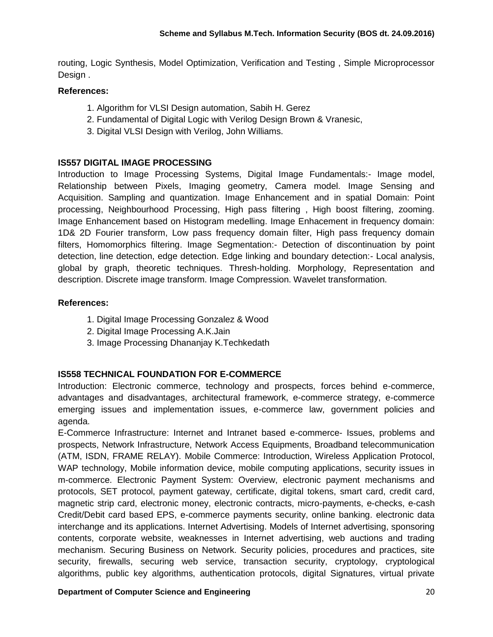routing, Logic Synthesis, Model Optimization, Verification and Testing , Simple Microprocessor Design .

#### **References:**

- 1. Algorithm for VLSI Design automation, Sabih H. Gerez
- 2. Fundamental of Digital Logic with Verilog Design Brown & Vranesic,
- 3. Digital VLSI Design with Verilog, John Williams.

### **IS557 DIGITAL IMAGE PROCESSING**

Introduction to Image Processing Systems, Digital Image Fundamentals:- Image model, Relationship between Pixels, Imaging geometry, Camera model. Image Sensing and Acquisition. Sampling and quantization. Image Enhancement and in spatial Domain: Point processing, Neighbourhood Processing, High pass filtering , High boost filtering, zooming. Image Enhancement based on Histogram medelling. Image Enhacement in frequency domain: 1D& 2D Fourier transform, Low pass frequency domain filter, High pass frequency domain filters, Homomorphics filtering. Image Segmentation:- Detection of discontinuation by point detection, line detection, edge detection. Edge linking and boundary detection:- Local analysis, global by graph, theoretic techniques. Thresh-holding. Morphology, Representation and description. Discrete image transform. Image Compression. Wavelet transformation.

### **References:**

- 1. Digital Image Processing Gonzalez & Wood
- 2. Digital Image Processing A.K.Jain
- 3. Image Processing Dhananjay K.Techkedath

### **IS558 TECHNICAL FOUNDATION FOR E-COMMERCE**

Introduction: Electronic commerce, technology and prospects, forces behind e-commerce, advantages and disadvantages, architectural framework, e-commerce strategy, e-commerce emerging issues and implementation issues, e-commerce law, government policies and agenda.

E-Commerce Infrastructure: Internet and Intranet based e-commerce- Issues, problems and prospects, Network Infrastructure, Network Access Equipments, Broadband telecommunication (ATM, ISDN, FRAME RELAY). Mobile Commerce: Introduction, Wireless Application Protocol, WAP technology, Mobile information device, mobile computing applications, security issues in m-commerce. Electronic Payment System: Overview, electronic payment mechanisms and protocols, SET protocol, payment gateway, certificate, digital tokens, smart card, credit card, magnetic strip card, electronic money, electronic contracts, micro-payments, e-checks, e-cash Credit/Debit card based EPS, e-commerce payments security, online banking. electronic data interchange and its applications. Internet Advertising. Models of Internet advertising, sponsoring contents, corporate website, weaknesses in Internet advertising, web auctions and trading mechanism. Securing Business on Network. Security policies, procedures and practices, site security, firewalls, securing web service, transaction security, cryptology, cryptological algorithms, public key algorithms, authentication protocols, digital Signatures, virtual private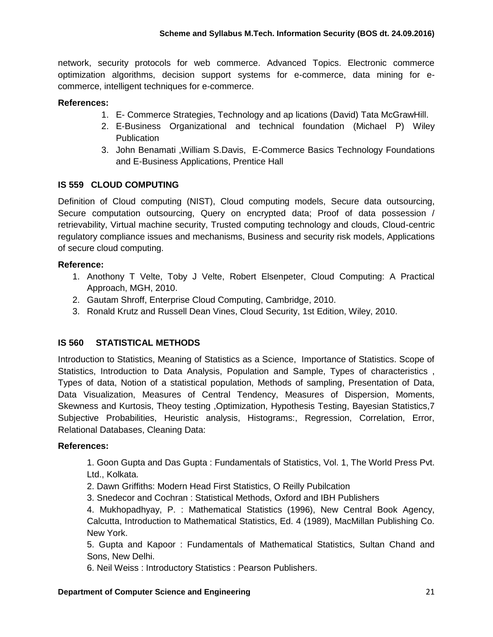network, security protocols for web commerce. Advanced Topics. Electronic commerce optimization algorithms, decision support systems for e-commerce, data mining for ecommerce, intelligent techniques for e-commerce.

### **References:**

- 1. E- Commerce Strategies, Technology and ap lications (David) Tata McGrawHill.
- 2. E-Business Organizational and technical foundation (Michael P) Wiley **Publication**
- 3. John Benamati ,William S.Davis, E-Commerce Basics Technology Foundations and E-Business Applications, Prentice Hall

### **IS 559 CLOUD COMPUTING**

Definition of Cloud computing (NIST), Cloud computing models, Secure data outsourcing, Secure computation outsourcing, Query on encrypted data; Proof of data possession / retrievability, Virtual machine security, Trusted computing technology and clouds, Cloud-centric regulatory compliance issues and mechanisms, Business and security risk models, Applications of secure cloud computing.

### **Reference:**

- 1. Anothony T Velte, Toby J Velte, Robert Elsenpeter, Cloud Computing: A Practical Approach, MGH, 2010.
- 2. Gautam Shroff, Enterprise Cloud Computing, Cambridge, 2010.
- 3. Ronald Krutz and Russell Dean Vines, Cloud Security, 1st Edition, Wiley, 2010.

### **IS 560 STATISTICAL METHODS**

Introduction to Statistics, Meaning of Statistics as a Science, Importance of Statistics. Scope of Statistics, Introduction to Data Analysis, Population and Sample, Types of characteristics , Types of data, Notion of a statistical population, Methods of sampling, Presentation of Data, Data Visualization, Measures of Central Tendency, Measures of Dispersion, Moments, Skewness and Kurtosis, Theoy testing ,Optimization, Hypothesis Testing, Bayesian Statistics,7 Subjective Probabilities, Heuristic analysis, Histograms:, Regression, Correlation, Error, Relational Databases, Cleaning Data:

#### **References:**

1. Goon Gupta and Das Gupta : Fundamentals of Statistics, Vol. 1, The World Press Pvt. Ltd., Kolkata.

2. Dawn Griffiths: Modern Head First Statistics, O Reilly Pubilcation

3. Snedecor and Cochran : Statistical Methods, Oxford and IBH Publishers

4. Mukhopadhyay, P. : Mathematical Statistics (1996), New Central Book Agency, Calcutta, Introduction to Mathematical Statistics, Ed. 4 (1989), MacMillan Publishing Co. New York.

5. Gupta and Kapoor : Fundamentals of Mathematical Statistics, Sultan Chand and Sons, New Delhi.

6. Neil Weiss : Introductory Statistics : Pearson Publishers.

#### **Department of Computer Science and Engineering** 21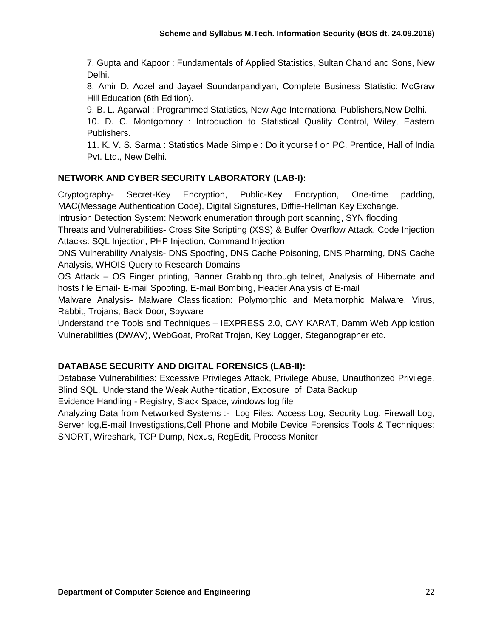7. Gupta and Kapoor : Fundamentals of Applied Statistics, Sultan Chand and Sons, New Delhi.

8. Amir D. Aczel and Jayael Soundarpandiyan, Complete Business Statistic: McGraw Hill Education (6th Edition).

9. B. L. Agarwal : Programmed Statistics, New Age International Publishers,New Delhi.

10. D. C. Montgomory : Introduction to Statistical Quality Control, Wiley, Eastern Publishers.

11. K. V. S. Sarma : Statistics Made Simple : Do it yourself on PC. Prentice, Hall of India Pvt. Ltd., New Delhi.

### **NETWORK AND CYBER SECURITY LABORATORY (LAB-I):**

Cryptography- Secret-Key Encryption, Public-Key Encryption, One-time padding, MAC(Message Authentication Code), Digital Signatures, Diffie-Hellman Key Exchange.

Intrusion Detection System: Network enumeration through port scanning, SYN flooding

Threats and Vulnerabilities- Cross Site Scripting (XSS) & Buffer Overflow Attack, Code Injection Attacks: SQL Injection, PHP Injection, Command Injection

DNS Vulnerability Analysis- DNS Spoofing, DNS Cache Poisoning, DNS Pharming, DNS Cache Analysis, WHOIS Query to Research Domains

OS Attack – OS Finger printing, Banner Grabbing through telnet, Analysis of Hibernate and hosts file Email- E-mail Spoofing, E-mail Bombing, Header Analysis of E-mail

Malware Analysis- Malware Classification: Polymorphic and Metamorphic Malware, Virus, Rabbit, Trojans, Back Door, Spyware

Understand the Tools and Techniques – IEXPRESS 2.0, CAY KARAT, Damm Web Application Vulnerabilities (DWAV), WebGoat, ProRat Trojan, Key Logger, Steganographer etc.

### **DATABASE SECURITY AND DIGITAL FORENSICS (LAB-II):**

Database Vulnerabilities: Excessive Privileges Attack, Privilege Abuse, Unauthorized Privilege, Blind SQL, Understand the Weak Authentication, Exposure of Data Backup

Evidence Handling - Registry, Slack Space, windows log file

Analyzing Data from Networked Systems :- Log Files: Access Log, Security Log, Firewall Log, Server log,E-mail Investigations,Cell Phone and Mobile Device Forensics Tools & Techniques: SNORT, Wireshark, TCP Dump, Nexus, RegEdit, Process Monitor